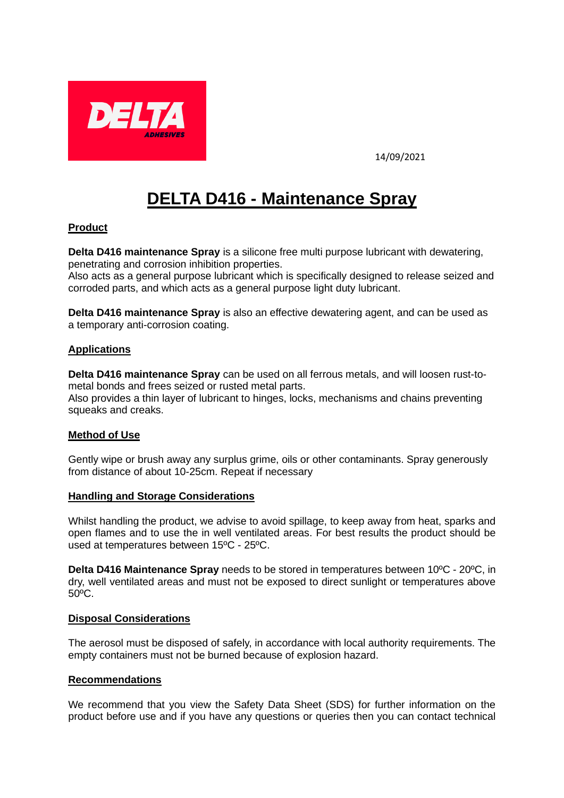

14/09/2021

# **DELTA D416 - Maintenance Spray**

## **Product**

**Delta D416 maintenance Spray** is a silicone free multi purpose lubricant with dewatering, penetrating and corrosion inhibition properties.

Also acts as a general purpose lubricant which is specifically designed to release seized and corroded parts, and which acts as a general purpose light duty lubricant.

**Delta D416 maintenance Spray** is also an effective dewatering agent, and can be used as a temporary anti-corrosion coating.

## **Applications**

**Delta D416 maintenance Spray** can be used on all ferrous metals, and will loosen rust-tometal bonds and frees seized or rusted metal parts.

Also provides a thin layer of lubricant to hinges, locks, mechanisms and chains preventing squeaks and creaks.

## **Method of Use**

Gently wipe or brush away any surplus grime, oils or other contaminants. Spray generously from distance of about 10-25cm. Repeat if necessary

#### **Handling and Storage Considerations**

Whilst handling the product, we advise to avoid spillage, to keep away from heat, sparks and open flames and to use the in well ventilated areas. For best results the product should be used at temperatures between 15ºC - 25ºC.

**Delta D416 Maintenance Spray** needs to be stored in temperatures between 10ºC - 20ºC, in dry, well ventilated areas and must not be exposed to direct sunlight or temperatures above 50ºC.

### **Disposal Considerations**

The aerosol must be disposed of safely, in accordance with local authority requirements. The empty containers must not be burned because of explosion hazard.

## **Recommendations**

We recommend that you view the Safety Data Sheet (SDS) for further information on the product before use and if you have any questions or queries then you can contact technical